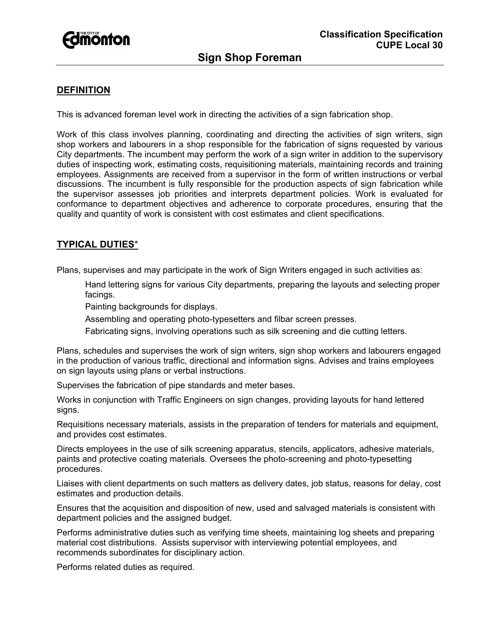

# **DEFINITION**

This is advanced foreman level work in directing the activities of a sign fabrication shop.

Work of this class involves planning, coordinating and directing the activities of sign writers, sign shop workers and labourers in a shop responsible for the fabrication of signs requested by various City departments. The incumbent may perform the work of a sign writer in addition to the supervisory duties of inspecting work, estimating costs, requisitioning materials, maintaining records and training employees. Assignments are received from a supervisor in the form of written instructions or verbal discussions. The incumbent is fully responsible for the production aspects of sign fabrication while the supervisor assesses job priorities and interprets department policies. Work is evaluated for conformance to department objectives and adherence to corporate procedures, ensuring that the quality and quantity of work is consistent with cost estimates and client specifications.

## **TYPICAL DUTIES**\*

Plans, supervises and may participate in the work of Sign Writers engaged in such activities as:

Hand lettering signs for various City departments, preparing the layouts and selecting proper facings.

Painting backgrounds for displays.

Assembling and operating photo-typesetters and filbar screen presses.

Fabricating signs, involving operations such as silk screening and die cutting letters.

Plans, schedules and supervises the work of sign writers, sign shop workers and labourers engaged in the production of various traffic, directional and information signs. Advises and trains employees on sign layouts using plans or verbal instructions.

Supervises the fabrication of pipe standards and meter bases.

Works in conjunction with Traffic Engineers on sign changes, providing layouts for hand lettered signs.

Requisitions necessary materials, assists in the preparation of tenders for materials and equipment, and provides cost estimates.

Directs employees in the use of silk screening apparatus, stencils, applicators, adhesive materials, paints and protective coating materials. Oversees the photo-screening and photo-typesetting procedures.

Liaises with client departments on such matters as delivery dates, job status, reasons for delay, cost estimates and production details.

Ensures that the acquisition and disposition of new, used and salvaged materials is consistent with department policies and the assigned budget.

Performs administrative duties such as verifying time sheets, maintaining log sheets and preparing material cost distributions. Assists supervisor with interviewing potential employees, and recommends subordinates for disciplinary action.

Performs related duties as required.